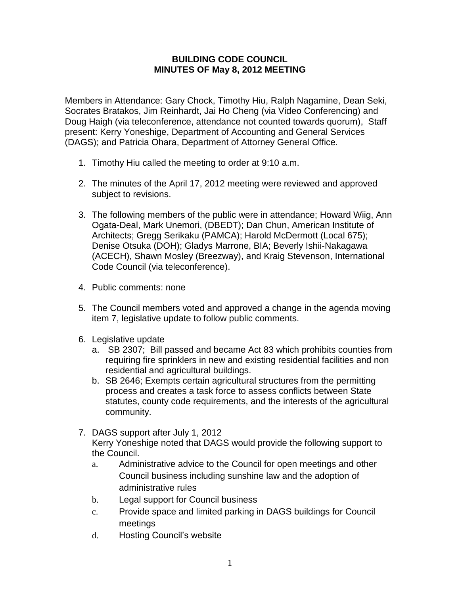## **BUILDING CODE COUNCIL MINUTES OF May 8, 2012 MEETING**

Members in Attendance: Gary Chock, Timothy Hiu, Ralph Nagamine, Dean Seki, Socrates Bratakos, Jim Reinhardt, Jai Ho Cheng (via Video Conferencing) and Doug Haigh (via teleconference, attendance not counted towards quorum), Staff present: Kerry Yoneshige, Department of Accounting and General Services (DAGS); and Patricia Ohara, Department of Attorney General Office.

- 1. Timothy Hiu called the meeting to order at 9:10 a.m.
- 2. The minutes of the April 17, 2012 meeting were reviewed and approved subject to revisions.
- 3. The following members of the public were in attendance; Howard Wiig, Ann Ogata-Deal, Mark Unemori, (DBEDT); Dan Chun, American Institute of Architects; Gregg Serikaku (PAMCA); Harold McDermott (Local 675); Denise Otsuka (DOH); Gladys Marrone, BIA; Beverly Ishii-Nakagawa (ACECH), Shawn Mosley (Breezway), and Kraig Stevenson, International Code Council (via teleconference).
- 4. Public comments: none
- 5. The Council members voted and approved a change in the agenda moving item 7, legislative update to follow public comments.
- 6. Legislative update
	- a. SB 2307; Bill passed and became Act 83 which prohibits counties from requiring fire sprinklers in new and existing residential facilities and non residential and agricultural buildings.
	- b. SB 2646; Exempts certain agricultural structures from the permitting process and creates a task force to assess conflicts between State statutes, county code requirements, and the interests of the agricultural community.
- 7. DAGS support after July 1, 2012

Kerry Yoneshige noted that DAGS would provide the following support to the Council.

- a. Administrative advice to the Council for open meetings and other Council business including sunshine law and the adoption of administrative rules
- b. Legal support for Council business
- c. Provide space and limited parking in DAGS buildings for Council meetings
- d. Hosting Council's website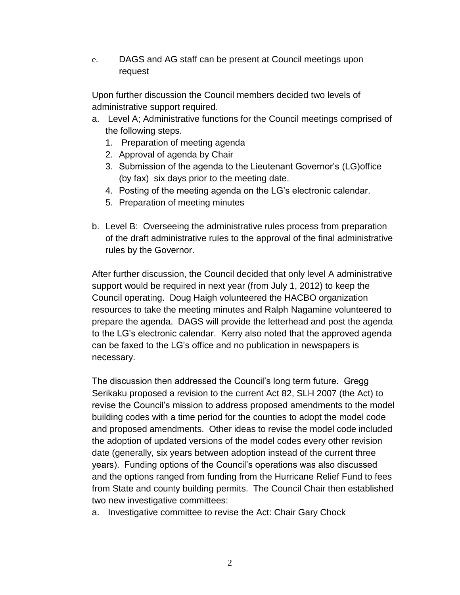e. DAGS and AG staff can be present at Council meetings upon request

Upon further discussion the Council members decided two levels of administrative support required.

- a. Level A; Administrative functions for the Council meetings comprised of the following steps.
	- 1. Preparation of meeting agenda
	- 2. Approval of agenda by Chair
	- 3. Submission of the agenda to the Lieutenant Governor's (LG)office (by fax) six days prior to the meeting date.
	- 4. Posting of the meeting agenda on the LG's electronic calendar.
	- 5. Preparation of meeting minutes
- b. Level B: Overseeing the administrative rules process from preparation of the draft administrative rules to the approval of the final administrative rules by the Governor.

After further discussion, the Council decided that only level A administrative support would be required in next year (from July 1, 2012) to keep the Council operating. Doug Haigh volunteered the HACBO organization resources to take the meeting minutes and Ralph Nagamine volunteered to prepare the agenda. DAGS will provide the letterhead and post the agenda to the LG's electronic calendar. Kerry also noted that the approved agenda can be faxed to the LG's office and no publication in newspapers is necessary.

The discussion then addressed the Council's long term future. Gregg Serikaku proposed a revision to the current Act 82, SLH 2007 (the Act) to revise the Council's mission to address proposed amendments to the model building codes with a time period for the counties to adopt the model code and proposed amendments. Other ideas to revise the model code included the adoption of updated versions of the model codes every other revision date (generally, six years between adoption instead of the current three years). Funding options of the Council's operations was also discussed and the options ranged from funding from the Hurricane Relief Fund to fees from State and county building permits. The Council Chair then established two new investigative committees:

a. Investigative committee to revise the Act: Chair Gary Chock